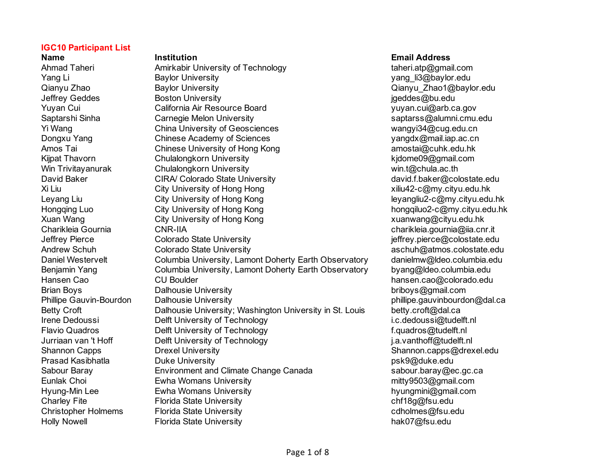Holly Nowell **Florida State University Figure 1** and the end of the hak07@fsu.edu

# **Name Institution Email Address** Ahmad Taheri **Amirkabir University of Technology** taheri.atp@gmail.com Yang Li Baylor University **Contained Act State State State State State State State State State State State State** Qianyu Zhao Baylor University Qianyu\_Zhao1@baylor.edu Jeffrey Geddes **Boston University** in the state of the state of the state of the state of the state of the state of the state of the state of the state of the state of the state of the state of the state of the state of th Yuyan Cui California Air Resource Board yuyan.cui@arb.ca.gov Saptarshi Sinha Carnegie Melon University saptarss@alumni.cmu.edu Yi Wang China University of Geosciences wangyi34@cug.edu.cn Dongxu Yang Chinese Academy of Sciences yangdx@mail.iap.ac.cn Amos Tai **Chinese University of Hong Kong** amostai@cuhk.edu.hk Kijpat Thavorn **Kulkalongkorn University** Kijpat Thavorn Kidome09@gmail.com Win Trivitayanurak Chulalongkorn University winter winter winter winter winter the set of the Chula. David Baker CIRA/ Colorado State University david.f.baker@colostate.edu Xi Liu City University of Hong Hong New York 2010 xiliu42-c@my.cityu.edu.hk Leyang Liu City University of Hong Kong lewice the state of the state of the Leyangliu2-c@my.cityu.edu.hk Hongqing Luo City University of Hong Kong Company Cityu.edu.hk Xuan Wang **City University of Hong Kong** Computer of Hong Kuanwang@cityu.edu.hk Charikleia Gournia CNR-IIA charikleia.gournia@iia.cnr.it Jeffrey Pierce Colorado State University in the state of the effrey.pierce@colostate.edu Andrew Schuh Colorado State University and the sechuh@atmos.colostate.edu Daniel Westervelt Columbia University, Lamont Doherty Earth Observatory danielmw@ldeo.columbia.edu Benjamin Yang Columbia University, Lamont Doherty Earth Observatory byang@ldeo.columbia.edu Hansen Cao CU Boulder hansen.cao@colorado.edu Brian Boys **Dalhousie University** briboys **@gmail.com** briboys **and all the end of the Briboys briboys briboys and all the end of the end of the end of the end of the end of the end of the end of the end of the end o** Phillipe Gauvin-Bourdon Dalhousie University **phillipe and Containersity** phillipe.gauvinbourdon@dal.ca Betty Croft **Dalhousie University**; Washington University in St. Louis betty.croft@dal.ca Irene Dedoussi **Delft University of Technology i.c.dedoussi@tudelft.nl** Flavio Quadros **Delft University of Technology Flavio Cuadros** (1) the setting problem of the Delft.nl Jurriaan van 't Hoff **Delft University of Technology** between the state and the state i.a.vanthoff@tudelft.nl Shannon Capps **Shannon** Capps **Drexel University** Shannon.capps@drexel.edu Prasad Kasibhatla Duke University psk9@duke.edu Sabour Baray **Environment and Climate Change Canada** Sabour.baray@ec.gc.ca Eunlak Choi **Ewha Womans University** mitty9503@gmail.com Hyung-Min Lee Ewha Womans University hyungmini@gmail.com Charley Fite **Florida State University** Charley Fite Charley Fite Children Charles Childen Childen Childen Childen Christopher Holmems Florida State University cdholmes@fsu.edu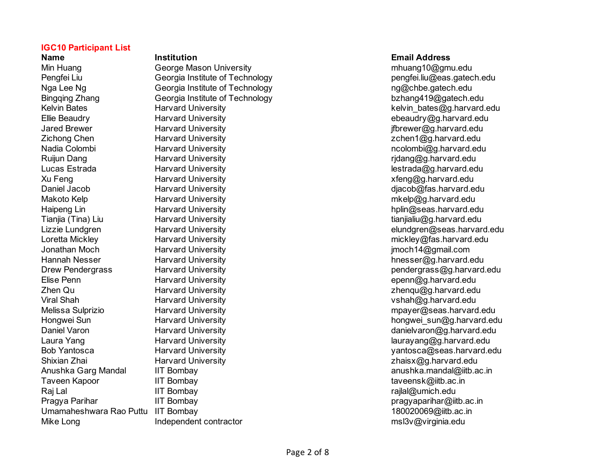**Name Institution Email Address** Min Huang George Mason University mhuang10@gmu.edu Nga Lee Ng Georgia Institute of Technology ng Georgia Institute of Technology ng Georgia Institute of Technology Bingqing Zhang Georgia Institute of Technology bzhang419@gatech.edu Ellie Beaudry Harvard University ebeaudry@g.harvard.edu Jared Brewer **Faryard University** in the same of the settential of the settential of the settential of the setten Zichong Chen **Harvard University Example 2** and the state of the state of the state of the state of the state of the state of the state of the state of the state of the state of the state of the state of the state of the Nadia Colombi **Manufatia Harvard University** new metapological education of the education of the education of the education of the education of the education of the education of the education of the education of the educat Ruijun Dang **Example 2018** Harvard University **Ruize 2018** Tridang@g.harvard.edu Lucas Estrada **Marvard University Lucas Estrada@g.harvard.edu lestrada@g.harvard.edu** Xu Feng **Harvard University Xu Feng Accompanying the Strategier Control Accompanying Strategier 2016** Daniel Jacob **Harvard University Harvard University Harvard.edu** diacob@fas.harvard.edu Makoto Kelp **Makoto Kelp** Harvard University metal metal metal metal metal metal metal of the metal metal metal metal metal metal metal metal metal metal metal metal metal metal metal metal metal metal metal metal metal me Haipeng Lin Harvard University hplin@seas.harvard.edu Tianjia (Tina) Liu Harvard University tianjialiu@g.harvard.edu Loretta Mickley **Example 20** Harvard University mickley and the mickley of the mickley of the mickley of the mickley of the mickley of the mickley of the mickley of the mickley of the mickley of the mickley of the mickley Jonathan Moch **Harvard University** in the state of the moch 14@gmail.com Hannah Nesser Harvard University hnesser@g.harvard.edu Elise Penn Harvard University epenn@g.harvard.edu Zhen Qu Harvard University zhenqu@g.harvard.edu Viral Shah **Harvard University** vshah@g.harvard.edu Shixian Zhai Harvard University zhaisx@g.harvard.edu Taveen Kapoor **IIT Bombay IIT IIIT Bombay** taveensk@iitb.ac.in Raj Lal **IIIT Bombay rajlalah karena yang termisi** ke termisi di termisi dan ke termisi di termisi dan ke termisi Pragya Parihar **IIT Bombay pragyaparihar@iitb.ac.in** Umamaheshwara Rao Puttu IIT Bombay 180020069@iitb.ac.in Mike Long **Independent contractor** metal manufactor msl3v@virginia.edu

Pengfei Liu Georgia Institute of Technology pengfei.liu@eas.gatech.edu Kelvin Bates **Harvard University Harvard University Relation Construction Construction** Relation Relation Relationships and the Relation Relation Relation Relations and Relationships and Relationships and Relationships Lizzie Lundgren Harvard University elundgren@seas.harvard.edu Drew Pendergrass Harvard University **Drew Pendergrass@g.harvard.edu** Melissa Sulprizio Harvard University mpayer@seas.harvard.edu Hongwei Sun **Harvard University hongwei** sun@g.harvard.edu Daniel Varon **Example 20 Franch Harvard University** Christian Museum Museum danielvaron@g.harvard.edu Laura Yang **Example 20** Harvard University laurayang laurayang and laurayang the laurayang distribution of the laurayang term of the laurayang distribution of the laurayang distribution of the laurayang distribution of the Bob Yantosca **Maxward Harvard University** Maxward States and the Vantosca and Vantosca as harvard.edu Anushka Garg Mandal IIT Bombay anushka.mandal@iitb.ac.in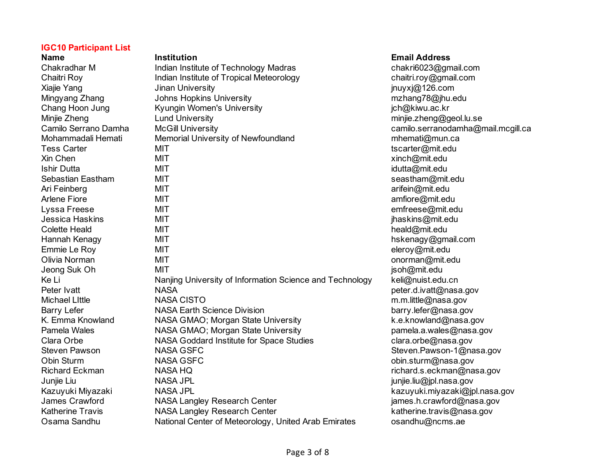| name                  |
|-----------------------|
| Chakradhar M          |
| Chaitri Roy           |
| Xiajie Yang           |
| Mingyang Zhang        |
| Chang Hoon Jung       |
| Minjie Zheng          |
| Camilo Serrano Damha  |
| Mohammadali Hemati    |
| <b>Tess Carter</b>    |
| Xin Chen              |
| <b>Ishir Dutta</b>    |
| Sebastian Eastham     |
| Ari Feinberg          |
| Arlene Fiore          |
| Lyssa Freese          |
| Jessica Haskins       |
| <b>Colette Heald</b>  |
| Hannah Kenagy         |
| Emmie Le Roy          |
| Olivia Norman         |
| Jeong Suk Oh          |
| Ke Li                 |
| Peter Ivatt           |
| <b>Michael Little</b> |
| <b>Barry Lefer</b>    |
| K. Emma Knowland      |
| Pamela Wales          |
| Clara Orbe            |
| <b>Steven Pawson</b>  |
| Obin Sturm            |
| <b>Richard Eckman</b> |
| Junjie Liu            |
| Kazuyuki Miyazaki     |
| James Crawford        |
| Katherine Travis      |
| Osama Sandhu          |

| <b>Institution</b>                                       | <b>Email Address</b>   |
|----------------------------------------------------------|------------------------|
| Indian Institute of Technology Madras                    | chakri6023@gmail.c     |
| Indian Institute of Tropical Meteorology                 | chaitri.roy@gmail.co   |
| Jinan University                                         | jnuyxj@126.com         |
| <b>Johns Hopkins University</b>                          | mzhang78@jhu.edu       |
| Kyungin Women's University                               | jch@kiwu.ac.kr         |
| <b>Lund University</b>                                   | minjie.zheng@geol.l    |
| <b>McGill University</b>                                 | camilo.serranodamh     |
| Memorial University of Newfoundland                      | mhemati@mun.ca         |
| MIT                                                      | tscarter@mit.edu       |
| MIT                                                      | xinch@mit.edu          |
| MIT                                                      | idutta@mit.edu         |
| MIT                                                      | seastham@mit.edu       |
| MIT                                                      | arifein@mit.edu        |
| MIT                                                      | amfiore@mit.edu        |
| MIT                                                      | emfreese@mit.edu       |
| <b>MIT</b>                                               | jhaskins@mit.edu       |
| <b>MIT</b>                                               | heald@mit.edu          |
| <b>MIT</b>                                               | hskenagy@gmail.co      |
| <b>MIT</b>                                               | eleroy@mit.edu         |
| <b>MIT</b>                                               | onorman@mit.edu        |
| MIT                                                      | jsoh@mit.edu           |
| Nanjing University of Information Science and Technology | keli@nuist.edu.cn      |
| <b>NASA</b>                                              | peter.d.ivatt@nasa.g   |
| <b>NASA CISTO</b>                                        | m.m.little@nasa.gov    |
| <b>NASA Earth Science Division</b>                       | barry.lefer@nasa.go    |
| NASA GMAO; Morgan State University                       | k.e.knowland@nasa      |
| NASA GMAO; Morgan State University                       | pamela.a.wales@na      |
| NASA Goddard Institute for Space Studies                 | clara.orbe@nasa.go     |
| <b>NASA GSFC</b>                                         | Steven.Pawson-1@       |
| <b>NASA GSFC</b>                                         | obin.sturm@nasa.go     |
| <b>NASA HQ</b>                                           | richard.s.eckman@      |
| <b>NASA JPL</b>                                          | junjie.liu@jpl.nasa.go |
| <b>NASA JPL</b>                                          | kazuyuki.miyazaki@     |
| NASA Langley Research Center                             | james.h.crawford@i     |
| <b>NASA Langley Research Center</b>                      | katherine.travis@na    |
| National Center of Meteorology, United Arab Emirates     | osandhu@ncms.ae        |

# **Email Address**

chakri6023@gmail.com chaitri.roy@gmail.com jnuyxj@126.com mzhang 78@jhu.edu jch@kiwu.ac.kr minjie zheng@geol.lu.se camilo.serranodamha@mail.mcgill.ca mhemati@mun.ca tscarter@mit.edu xinch@mit.edu idutta@mit.edu seastham@mit.edu arifein@mit.edu amfiore@mit.edu emfreese@mit.edu jhaskins@mit.edu heald@mit.edu hskenagy@gmail.com eleroy@mit.edu onorman@mit.edu  $isoh@mit.edu$ keli@nuist.edu.cn peter.d.ivatt@nasa.gov m.m.little@nasa.gov barry lefer@nasa.gov k.e.knowland@nasa.gov pamela a wales@nasa.gov clara.orbe@nasa.gov Steven Pawson-1@nasa.gov obin.sturm@nasa.gov richard.s.eckman@nasa.gov junjie liu@jpl.nasa.gov kazuyuki.miyazaki@jpl.nasa.gov  $j$ ames h.crawford@nasa.gov katherine travis@nasa.gov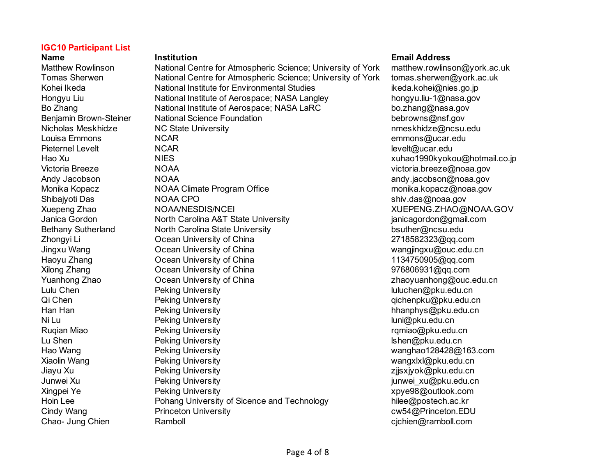Matthew Rowlinson National Centre for Atmospheric Science; University of York matthew.rowlinson@york.ac.uk Tomas Sherwen **National Centre for Atmospheric Science**; University of York tomas sherwen@york.ac.uk Kohei Ikeda **National Institute for Environmental Studies** in the also hei@nies.go.jp Hongyu Liu **National Institute of Aerospace**; NASA Langley hongyu.liu-1@nasa.gov Bo Zhang **National Institute of Aerospace**; NASA LaRC bo.zhang@nasa.gov Benjamin Brown-Steiner Mational Science Foundation between the bebrowns@nsf.gov Nicholas Meskhidze **NG State University** networkshidze numeral numeral numeral numeral numeral numeral numeral numeral numeral numeral numeral numeral numeral numeral numeral numeral numeral numeral numeral numeral numeral Louisa Emmons NCAR emmons@ucar.edu Pieternel Levelt **NCAR** levelt and the NCAR level of the state of the state of the state of the state of the state of the state of the state of the state of the state of the state of the state of the state of the state of Hao Xu *NIES* NIES 2008 Xuhao1990kyokou@hotmail.co.ip Victoria Breeze NOAA victoria.breeze@noaa.gov Andy Jacobson **Andy Jacobson Controller Controller Controller Controller Controller Controller Controller Controller Controller Controller Controller Controller Controller Controller Controller Controller Controller Contro** Monika Kopacz **MOAA Climate Program Office** monika.kopacz@noaa.gov Shibajyoti Das **NOAA CPO** shiv.das@noaa.gov Xuepeng Zhao NOAA/NESDIS/NCEI XUEPENG.ZHAO@NOAA.GOV Janica Gordon **North Carolina A&T State University** in the state communication of a state of the state of the state of the state University of the state of a state of the state of the state of the state of the state of the Bethany Sutherland **North Carolina State University buther@ncsu.edu** bsuther@ncsu.edu Zhongyi Li Ocean University of China 2718582323@qq.com Jingxu Wang Ocean University of China wangjingxu@ouc.edu.cn Haoyu Zhang Ocean University of China 1134750905@qq.com Xilong Zhang Chang Ocean University of China China 1976806931@qq.com Yuanhong Zhao Ocean University of China zhaoyuanhong@ouc.edu.cn Lulu Chen **Peking University Community** luluchen@pku.edu.cn Qi Chen **Peking University Qi Chen qichenpku@pku.edu.cn Qi Chen qichenpku@pku.edu.cn** Han Han Peking University hhanphys@pku.edu.cn Ni Lu **Charles Communist Communist Communist Communist Communist Communist Communist Communist Communist Communist Communist Communist Communist Communist Communist Communist Communist Communist Communist Communist Communi** Ruqian Miao **Reking University Rugian Community** ramiao@pku.edu.cn Lu Shen **Containers** Peking University **and Containers and Containers Peking University and Containers and Containers Research and Shen@pku.edu.cn** Hao Wang Peking University wanghao128428@163.com Xiaolin Wang **National Community** Peking University Wangxlxland Wangxlxl@pku.edu.cn Jiayu Xu Peking University zjjsxjyok@pku.edu.cn Junwei Xu Peking University junwei\_xu@pku.edu.cn Xingpei Ye Peking University xpye98@outlook.com Hoin Lee Pohang University of Sicence and Technology hilee@postech.ac.kr Cindy Wang **Princeton University Cindy Wang** cw54@Princeton.EDU Chao- Jung Chien **Ramboll Ramboll come Chao- Chao- Strategie**n Chao- Jung Chien **Ramboll.com**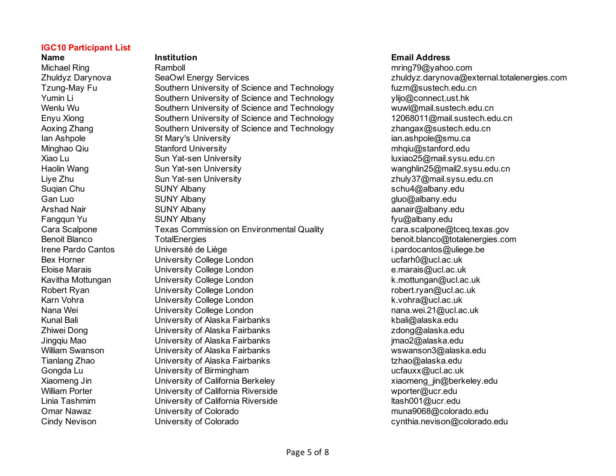**Name Institution Email Address** Michael Ring **Ramboll** Ramboll metal and the community of the community of the community of the community of the community of the community of the community of the community of the community of the community of the communi Zhuldyz Darynova SeaOwl Energy Services zhuldyz.darynova@external.totalenergies.com Tzung-May Fu Southern University of Science and Technology fuzm@sustech.edu.cn Yumin Li Southern University of Science and Technology ylijo@connect.ust.hk Wenlu Wu Southern University of Science and Technology wuwl@mail.sustech.edu.cn Enyu Xiong Southern University of Science and Technology 12068011@mail.sustech.edu.cn Aoxing Zhang Southern University of Science and Technology zhangax@sustech.edu.cn Ian Ashpole **St Mary's University** in the State of the State of Ashpole@smu.ca Minghao Qiu Stanford University mhqiu@stanford.edu Xiao Lu Sun Yat-sen University luxiao25@mail.sysu.edu.cn Haolin Wang Sun Yat-sen University wanghlin25@mail2.sysu.edu.cn Liye Zhu Sun Yat-sen University zhuly37@mail.sysu.edu.cn Suqian Chu SUNY Albany schu4@albany.edu Gan Luo SUNY Albany Gan Luo gluo@albany.edu Arshad Nair **SUNY Albany** and Sung Sung Sung a strong anair@albany.edu Fangqun Yu SUNY Albany fyu@albany.edu Cara Scalpone Texas Commission on Environmental Quality cara.scalpone@tceq.texas.gov Benoit Blanco TotalEnergies benoit.blanco@totalenergies.com Irene Pardo Cantos Université de Liège improvement de la contraste de la contraste de la contraste de la contra Bex Horner **Example 20 University College London** and the example of the ucfarh0@ucl.ac.uk Eloise Marais University College London e.marais@ucl.ac.uk Kavitha Mottungan **Kavitha Mottungan** University College London **Kristian College London** k.mottungan@ucl.ac.uk Robert Ryan **Example 20 University College London** robert.ryan@ucl.ac.uk Karn Vohra **Karn Vohra William College London** K.vohra@ucl.ac.uk Nana Wei College London nana.wei.21@ucl.ac.uk Kunal Bali University of Alaska Fairbanks kbali@alaska.edu Zhiwei Dong University of Alaska Fairbanks zdong@alaska.edu Jingqiu Mao University of Alaska Fairbanks jmao2@alaska.edu William Swanson University of Alaska Fairbanks wswanson3@alaska.edu Tianlang Zhao University of Alaska Fairbanks tzhao@alaska.edu Gongda Lu Chiversity of Birmingham university of Birmingham university of Birmingham university of Birmingham university of Birmingham university of Birmingham university of Birmingham university of Birmingham university o Xiaomeng Jin **State Contract Contract California Berkeley Xiaomeng** jin@berkeley.edu William Porter **Noting the University of California Riverside water was a struck of California** Riverside when we wporter@ucr.edu Linia Tashmim **Community Confident** University of California Riverside ltash001@ucr.edu Omar Nawaz University of Colorado muna9068@colorado.edu

Cindy Nevison University of Colorado cynthia.nevison@colorado.edu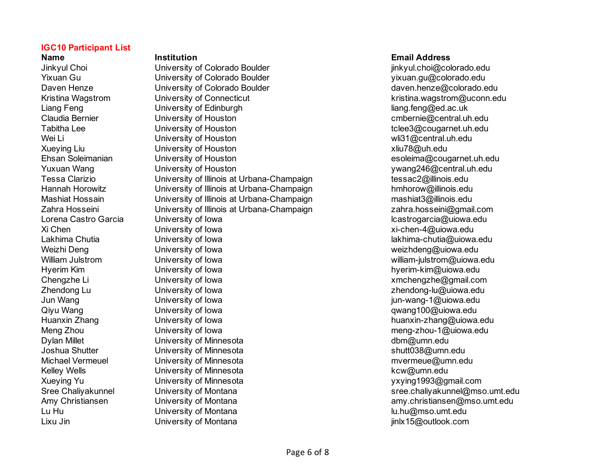Jinkyul Choi University of Colorado Boulder jinkyul.choi@colorado.edu Yixuan Gu Colorativersity of Colorado Boulder New York New Yixuan.gu@colorado.edu Daven Henze **Coloration** University of Colorado Boulder **Coloration Coloration Coloration** daven.henze@colorado.edu Kristina Wagstrom **Kristina** Wagstrom **University of Connecticut** Kristina.wagstrom@uconn.edu Liang Feng Contract University of Edinburgh Liang Contract Contract Contract Liang.feng@ed.ac.uk Claudia Bernier University of Houston cmbernie@central.uh.edu Tabitha Lee **The Coupon Contract Coupon Coupon Coupon Coupon Coupon Coupon Coupon Coupon Coupon Coupon Coupon Coupon Coupon Coupon Coupon Coupon Coupon Coupon Coupon Coupon Coupon Coupon Coupon Coupon Coupon Coupon Coupon** Wei Li Christopher Muslim University of Houston which wild a metal whist whist and whist whist whist whist whist whist whist whist whist whist whist whist whist whist whist whist whist whist whist whist whist whist whist w Xueying Liu Christophersity of Houston and American control of the state of the state of the University of Houston Ehsan Soleimanian University of Houston esoleima@cougarnet.uh.edu Yuxuan Wang University of Houston ywang246@central.uh.edu Tessa Clarizio University of Illinois at Urbana-Champaign tessac2@illinois.edu Hannah Horowitz **Example 20 University of Illinois at Urbana-Champaign** https://www.hmhorow@illinois.edu Mashiat Hossain **University of Illinois at Urbana-Champaign** mashiat3@illinois.edu Zahra Hosseini University of Illinois at Urbana-Champaign zahra.hosseini@gmail.com Lorena Castro Garcia University of Iowa lcastrogarcia@uiowa.edu Xi Chen **Xightar Chen-4@uiowa.edu** University of Iowa **xightar and the Chen-4@uiowa.edu** Xi-chen-4@uiowa.edu Lakhima Chutia **Chutia Chutia Chutia University of Iowa** lakhima-chutia@uiowa.edu Weizhi Deng University of Iowa weizhdeng@uiowa.edu William Julstrom **William Julstrom** University of Iowa william and the william-julstrom@uiowa.edu Hyerim Kim **Example 3** University of Iowa **hyperim-kim@uiowa.edu** hyerim-kim@uiowa.edu Chengzhe Li Chengzhe Li University of Iowa metal component component with the system of the system of the system of the system of the system of the system of the system of the system of the system of the system of the syst Zhendong Lu University of Iowa zhendong-lu@uiowa.edu Jun Wang **State Contract Contract Contract Contract Contract Contract Contract Contract Contract Contract Contract Contract University of Iowa in the University of Iowa in the University of Iowa in the University of Iowa i** Qiyu Wang **Calculation Contract Contract University of Iowa quang100** awang100@uiowa.edu Huanxin Zhang **Example 20** University of Iowa **huanxin-zhang@uiowa.edu** huanxin-zhang@uiowa.edu Meng Zhou University of Iowa meng-zhou-1@uiowa.edu Dylan Millet University of Minnesota dbm@umn.edu Joshua Shutter University of Minnesota shutt038@umn.edu Michael Vermeuel **Michael Communisty University of Minnesota** must be made that the must be myermeue@umn.edu Kelley Wells **Kelley Wells University of Minnesota** Kelley Wells **Kcw@umn.edu** Xueying Yu University of Minnesota yxying1993@gmail.com Sree Chaliyakunnel Sanch University of Montana sree.chaliyakunnel@mso.umt.edu Amy Christiansen **Amy Christiansen** University of Montana and amy.christiansen@mso.umt.edu Lu Hu University of Montana lu.hu@mso.umt.edu Lixu Jin **Example 3** University of Montana in the same intervals of the settential of Montana intervals and the set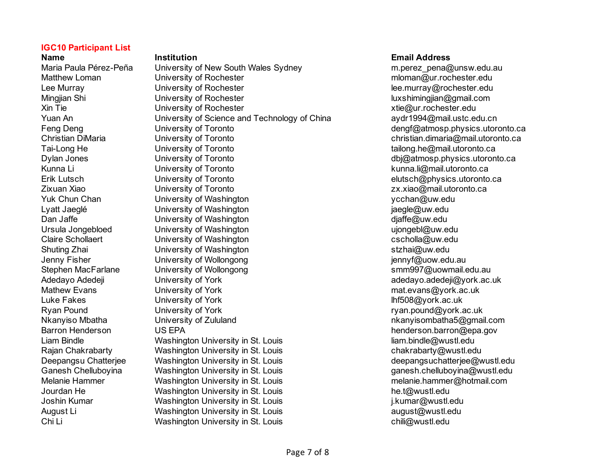Maria Paula Pérez-Peña University of New South Wales Sydney mercelled m.perez\_pena@unsw.edu.au Matthew Loman **Example 3** University of Rochester multiple minimum multiple mloman@ur.rochester.edu Lee Murray **Lee Murray Confident Contract Confident** Lee Murray (and the University of Rochester equipment of the Murray Confident Confident Confident Confident Confident Confident Confident Confident Confident Confident C Mingjian Shi **Shi Ningjian Shi Ningjian Shi Ningjian** University of Rochester **luxshiming** luxshimingjian@gmail.com Xin Tie University of Rochester xtie@ur.rochester.edu Yuan An China China China China and Technology of China **and Technology of China** aydr1994@mail.ustc.edu.cn Feng Deng Contract University of Toronto Contract Contract Contract Contract Contract Contract Contract Contract Contract Contract Contract Contract Contract Contract Contract Contract Contract Contract Contract Contract C Christian DiMaria **Christian DiMaria** University of Toronto **christian.dimaria@mail.utoronto.ca** Tai-Long He **The University of Toronto tailong tailong** tailong.he@mail.utoronto.ca Dylan Jones University of Toronto dbj@atmosp.physics.utoronto.ca Kunna Li **Kunna Li** University of Toronto **kunna** Li Runna Limani.utoronto.ca Erik Lutsch Christophysics.utoronto.ca Zixuan Xiao University of Toronto zx.xiao@mail.utoronto.ca Yuk Chun Chan **Washington Washington** ycchan@uw.edu Lyatt Jaeglé **South Contract Contract University of Washington** in the state of the state in a language and the v Dan Jaffe **Container University of Washington** Manuscription and the diaffe@uw.edu Ursula Jongebloed **University of Washington** university of Washington university of the University of Washington Claire Schollaert University of Washington cscholla@uw.edu Shuting Zhai University of Washington stzhai@uw.edu Jenny Fisher **South Contract Contract University of Wollongong Contract Contract Contract Contract Contract Contract Contract Contract Contract Contract Contract Contract Contract Contract Contract Contract Contract Contra** Stephen MacFarlane University of Wollongong stephen MacFarlane University of Wollongong Adedayo Adedeji **Mateur Contract University of York** adedayo.adedeji@york.ac.uk Mathew Evans **Mathew Evans Contains the University of York** mater mater mater and mat.evans@york.ac.uk Luke Fakes **Example 3** University of York **Luke Accord 10 and 10 and 10 and 10 and 10 and 10 and 10 and 10 and 10 and 10 and 10 and 10 and 10 and 10 and 10 and 10 and 10 and 10 and 10 and 10 and 10 and 10 and 10 and 10 and** Ryan Pound **Example 3** University of York **Ryan Contact Contact Contact Contact Contact Contact University of York** Ryan.pound@york.ac.uk Nkanyiso Mbatha **Nigambatha University of Zululand** nkanyisombatha5@gmail.com Barron Henderson **Barron US EPA** henderson.barron@epa.gov Liam Bindle **Communist Contract Contract Contract Contract Contract Contract Contract Contract Contract Contract Contract Contract Contract Contract Contract Contract Contract Contract Contract Contract Contract Contract C** Rajan Chakrabarty **Washington University in St. Louis** Chakrabarty @wustl.edu Deepangsu Chatterjee Washington University in St. Louis **Example 20 and St. Louis** deepangsuchatterjee@wustl.edu Ganesh Chelluboyina Washington University in St. Louis Ganesh Chelluboyina announce the university of the University of the University of the University of the University of the University of the University of the Universi Melanie Hammer **Mashington University in St. Louis** melanie.hammer@hotmail.com Jourdan He **Stephen Washington University in St. Louis** https://wustl.edu.html Joshin Kumar **St. Australian Washington University in St. Louis Joshin Kumar@wustl.edu** i.kumar@wustl.edu August Li **Chaugust Communist Communist Communist Communist Communist Communist Communist Communist Communist Communist Communist Communist Communist Communist Communist Communist Communist Communist Communist Communist Co** Chi Li Chi Li Washington University in St. Louis Chi Li Chili@wustl.edu